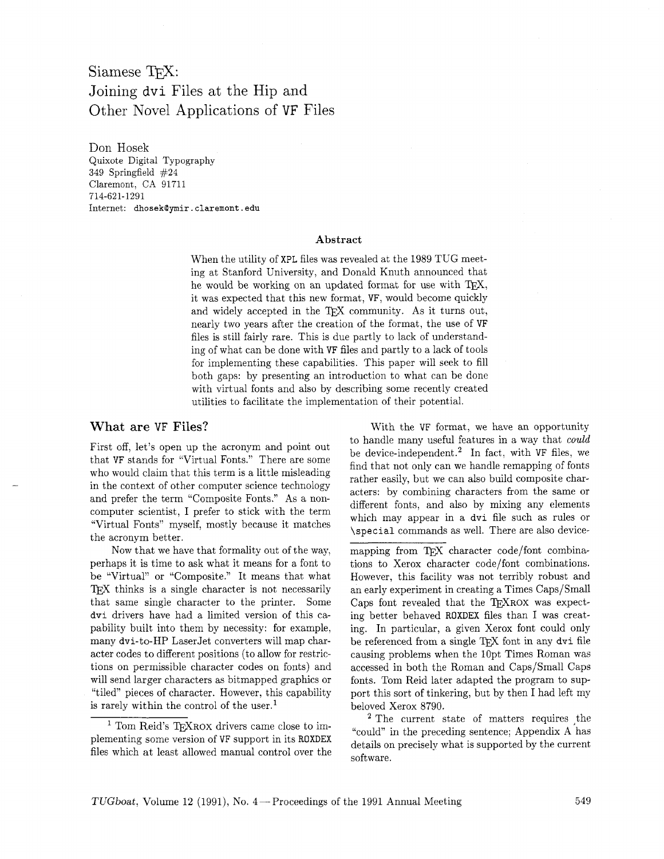# Siamese TFX: Joining dvi Files at the Hip and Other Novel Applications of VF Files

Don Hosek Quixote Digital Typography 349 Springfield #24 Claremont, CA 91711 714-621-1291  $Internet:$  dhosek@ymir.claremont.edu

#### **Abstract**

When the utility of XPL files was revealed at the 1989 TUG meeting at Stanford University, and Donald Knuth announced that he would be working on an updated format for use with TEX, it was expected that this new format, VF, would become quickly and widely accepted in the TEX community. As it turns out, nearly two years after the creation of the format, the use of VF files is still fairly rare. This is due partly to lack of understanding of what can be done with VF files and partly to a lack of tools for implementing these capabilities. This paper will seek to fill both gaps: by presenting an introduction to what can be done with virtual fonts and also by describing some recently created utilities to facilitate the implementation of their potential.

#### What are **VF** Files?

First off, let's open up the acronym and point out that VF stands for "Virtual Fonts." There are some who would claim that this term is a little misleading in the context of other computer science technology and prefer the term "Composite Fonts." As a noncomputer scientist, I prefer to stick with the term "Virtual Fonts" myself, mostly because it matches the acronym better.

Now that we have that formality out of the way, perhaps it is time to ask what it means for a font to be "Virtual" or "Composite." It means that what TFX thinks is a single character is not necessarily that same single character to the printer. Some dvi drivers have had a limited version of this capability built into them by necessity: for example, many dvi-to-HP LaserJet converters will map character codes to different positions (to allow for restrictions on permissible character codes on fonts) and will send larger characters as bitmapped graphics or "tiled" pieces of character. However, this capability is rarely within the control of the user.<sup>1</sup>

<sup>1</sup> Tom Reid's TEXROX drivers came close to implementing some version of VF support in its ROXDEX files which at least allowed manual control over the

With the VF format, we have an opportunity to handle many useful features in a way that could be device-independent.<sup>2</sup> In fact, with VF files, we find that not only can we handle remapping of fonts rather easily, but we can also build composite characters: by combining characters from the same or different fonts, and also by mixing any elements which may appear in a dvi file such as rules or \special commands as well. There are also device-

mapping from TFX character code/font combinations to Xerox character code/font combinations. However, this facility was not terribly robust and an early experiment in creating a Times Caps/Small Caps font revealed that the TFXROX was expecting better behaved ROXDEX files than I was creating. In particular, a given Xerox font could only be referenced from a single TFX font in any dvi file causing problems when the lOpt Times Roman was accessed in both the Roman and Caps/Small Caps fonts. Tom Reid later adapted the program to support this sort of tinkering, but by then I had left my beloved Xerox 8790.

 $2$  The current state of matters requires the "could" in the preceding sentence; Appendix A has details on precisely what is supported by the current software.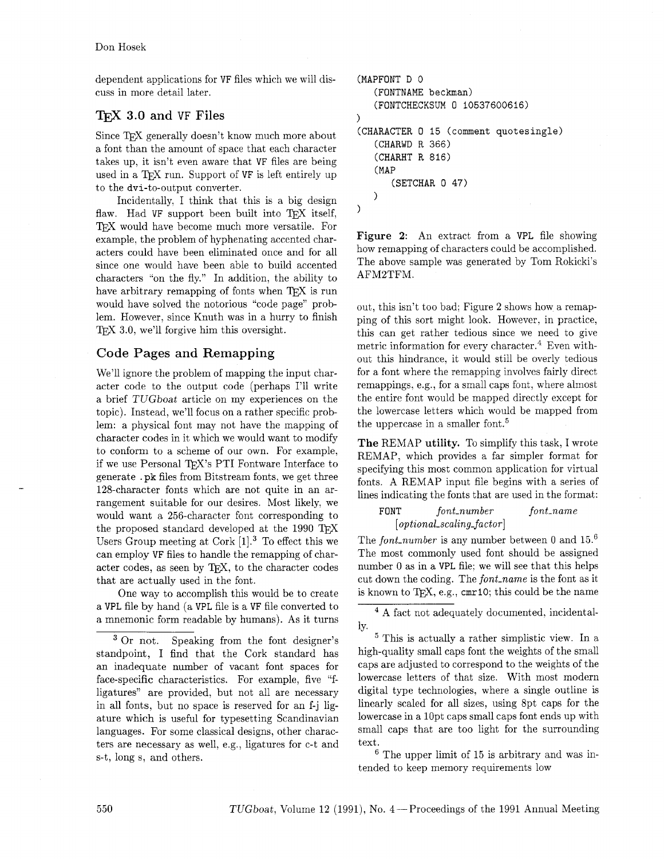dependent applications for **VF** files which we will discuss in more detail later.

## T<sub>F</sub>X 3.0 and VF Files

Since TFX generally doesn't know much more about a font than the amount of space that each character takes up, it isn't even aware that **VF** files are being used in a T<sub>F</sub>X run. Support of VF is left entirely up to the dvi-to-output converter.

Incidentally, I think that this is a big design flaw. Had VF support been built into TEX itself, TFX would have become much more versatile. For example, the problem of hyphenating accented characters could have been eliminated once and for all since one would have been able to build accented characters "on the fly." In addition, the ability to have arbitrary remapping of fonts when  $T\not\!\!F X$  is run would have solved the notorious "code page" problem. However, since Knuth was in a hurry to finish 3.0, we'll forgive him this oversight.

## Code Pages and Remapping

We'll ignore the problem of mapping the input character code to the output code (perhaps I'll write a brief TUGboat article on my experiences on the topic). Instead, we'll focus on a rather specific problem: a physical font may not have the mapping of character codes in it which we would want to modify to conform to a scheme of our own. For example, if we use Personal TFX's PTI Fontware Interface to generate . pk files from Bitstream fonts, we get three 128-character fonts which are not quite in an arrangement suitable for our desires. Most likely, we would want a 256-character font corresponding to the proposed standard developed at the 1990  $T_FX$ Users Group meeting at Cork  $[1]^3$  To effect this we can employ **VF** files to handle the remapping of character codes, as seen by TFX, to the character codes that are actually used in the font.

One way to accomplish this would be to create a **VPL** file by hand (a **VPL** file is a **VF** file converted to a mnemonic form readable by humans). As it turns

<sup>3</sup> Or not. Speaking from the font designer's standpoint, I find that the Cork standard has an inadequate number of vacant font spaces for face-specific characteristics. For example, five "fligatures" are provided, but not all are necessary in all fonts, but no space is reserved for an f-j ligature which is useful for typesetting Scandinavian languages. For some classical designs, other characters are necessary as well, e.g., ligatures for c-t and s-t, long s, and others.

```
(MAPFONT D 0 
    (FONTNAME beckman) 
    (FONTCHECKSUM 0 10537600616) 
\lambda(CHARACTER 0 15 (comment quotesingle) 
    (CHARWD R 366) 
    (CHARHT R 816) 
    (MAP 
        (SETCHAR 0 47) 
   \overline{\phantom{a}})
```
Figure **2:** An extract from a **VPL** file showing how remapping of characters could be accomplished. The above sample was generated by Tom Rokicki's AFM2TFM.

out, this isn't too bad; Figure 2 shows how a remapping of this sort might look. However, in practice, this can get rather tedious since we need to give metric information for every character. $4$  Even without this hindrance, it would still be overly tedious for a font where the remapping involves fairly direct remappings, e.g., for a small caps font, where almost the entire font would be mapped directly except for the lowercase letters which would be mapped from the uppercase in a smaller font.<sup>5</sup>

The REMAP **utility.** To simplify this task, I wrote REMAP, which provides a far simpler format for specifying this most common application for virtual fonts. A REMAP input file begins with a series of lines indicating the fonts that are used in the format:

### **FONT** *font-number font-name [optional~scaling~factor]*

The *font\_number* is any number between 0 and  $15<sup>6</sup>$ The most commonly used font should be assigned number 0 as in a **VPL** file; we will see that this helps cut down the coding. The *font-name* is the font as it is known to T<sub>E</sub>X, e.g., cmr10; this could be the name

A fact not adequately documented, incidentally.

<sup>5</sup> This is actually a rather simplistic view. In a high-quality small caps font the weights of the small caps are adjusted to correspond to the weights of the lowercase letters of that size. With most modern digital type technologies, where a single outline is linearly scaled for all sizes, using 8pt caps for the lowercase in a 10pt caps small caps font ends up with small caps that are too light for the surrounding text.

 $6$  The upper limit of 15 is arbitrary and was intended to keep memory requirements low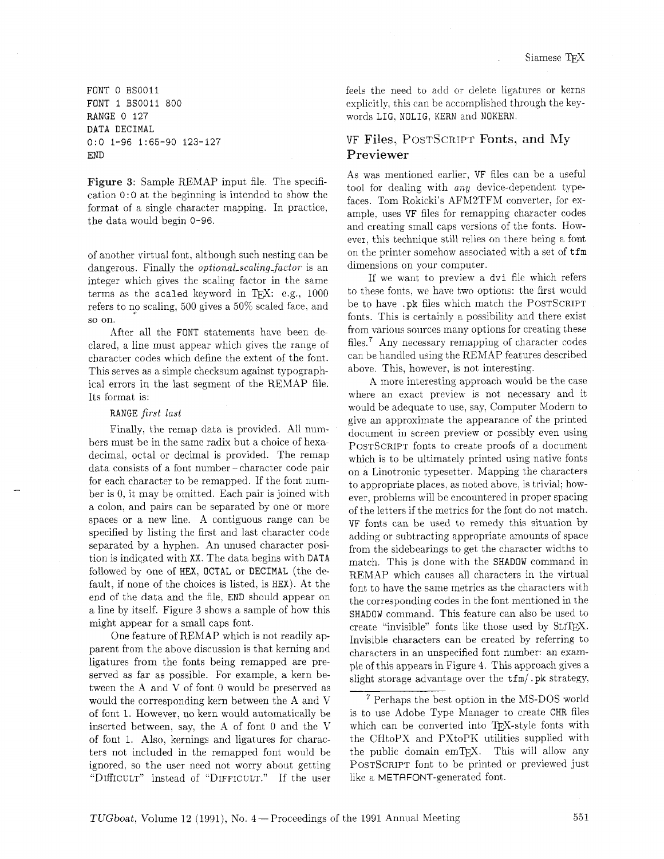FONT 0 BS0011 FONT 1 BS0011 800 RANGE 0 127 DATA DECIMAL 0:O 1-96 1:65-90 123-127 END

Figure **3:** Sample REMAP input file. The specification 0: 0 at the beginning is intended to show the format of a single character mapping. In practice, the data would begin 0-96.

of another virtual font, although such nesting can be dangerous. Finally the *optional\_scaling\_factor* is an integer which gives the scaling factor in the same terms as the scaled keyword in TFX: e.g.,  $1000$ refers to no scaling. 500 gives a 50% scaled face, and SO on.

After all the FONT statements have been declared. a line must appear which gives the range of character codes which define the extent of the font. This serves as a simple checksum against typographical errors in the last segment of the REMAP file. Its format is:

#### RANGE *first last*

Finally, the remap data is provided. All numbers must be in the same radix but a choice of hexadecimal, octal or decimal is provided. The remap data consists of a font number - character code pair for each character to be remapped. If the font number is 0, it may be omitted. Each pair is joined with a colon, and pairs can be separated by one or more spaces or a new line. A contiguous range can be specified by listing the first and last character code separated by a hyphen. An unused character position is indicated with XX. The data begins with DATA followed by one of HEX. OCTAL or DECIMAL (the default, if none of the choices is listed, is HEX). At the end of the data and the file, END should appear on a line by itself. Figure **3** shows a sample of how this might appear for a small caps font.

One feature of REMAP which is not readily apparent from the above discussion is that kerning and ligatures from the fonts being remapped are preserved as far as possible. For example. a kern between the A and V of font 0 would be preserved as would the corresponding kern between the A and V of font 1. However, no kern would automatically be inserted between, say, the A of font 0 and the V of font 1. Also, kernings and ligatures for characters not included in the remapped font would be ignored, so the user need not worry about getting "DIffICULT" instead of "DIFFICULT." If the user feels the need to add or delete ligatures or kerns explicitly, this can be accomplished through the keywords LIG, NOLIG, KERN and NOKERN.

## VF Files, POSTSCRIPT Fonts, and **My**  Previewer

As was mentioned earlier, VF files can be a useful tool for dealing with  $any$  device-dependent typefaces. Tom Rokicki's AFM2TFM converter, for example. uses VF files for remapping character codes and creating small caps versions of the fonts. However. this technique still relies on there being a font on the printer somehow associated with a set of tfm dimensions on your computer.

If we want to preview a dvi file which refers to these fonts. we have two options: the first would be to have .pk files which match the POSTSCRIPT fonts. This is certainly a possibility and there exist from various sources many options for creating these files.? Any necessary remapping of character codes can be handled using the REMAP features described above. This, however, is not interesting.

A more interesting approach would be the case where an exact preview is not necessary and it would be adequate to use, say, Computer Modern to give an approximate the appearance of the printed document in screen preview or possibly even using POSTSCRIPT fonts to create proofs of a document which is to be ultimately printed using native fonts on a Linotronic typesetter. Mapping the characters to appropriate places. as noted above, is trivial; however, problems will be encountered in proper spacing of the letters if the metrics for the font do not match. VF fonts can be used to remedy this situation by adding or subtracting appropriate amounts of space from the sidebearings to get the character widths to match. This is done with the SHADOW command in REMAP which causes all characters in the virtual font to have the same metrics as the characters with the corresponding codes in the font mentioned in the SHADOW command. This feature can also be used to create "invisible" fonts like those used by SLITEX. Invisible characters can be created by referring to characters in an unspecified font number: an example of this appears in Figure 4. This approach gives a slight storage advantage over the  $\text{tfm}/\text{pk}$  strategy,

Perhaps the best option in the MS-DOS world is to use Adobe Type Manager to create CHR files which can be converted into TFX-style fonts with the CHtoPX and PXtoPK utilities supplied with the public domain emTEX. This will allow any POSTSCRIPT font to be printed or previewed just like a METAFONT-generated font.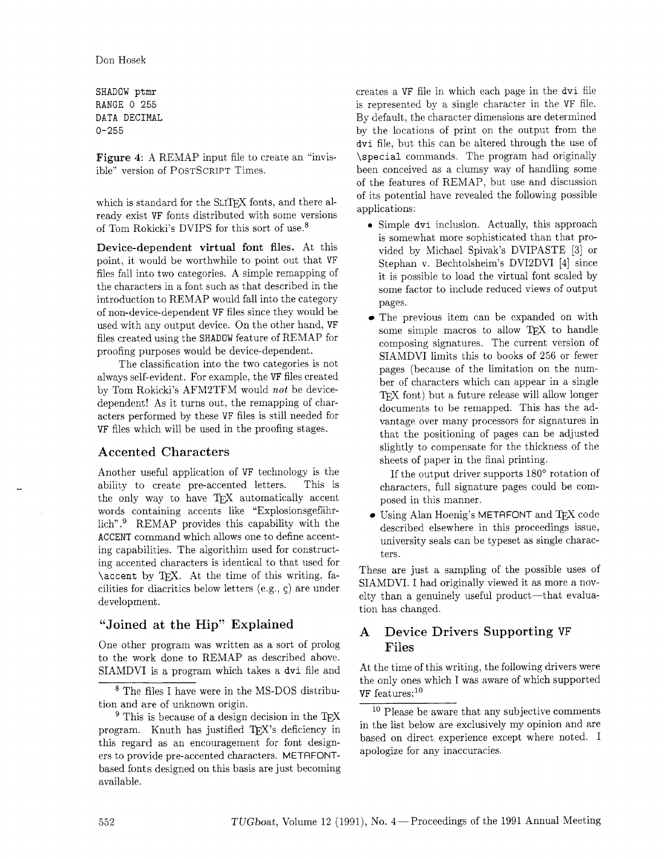SHADOW ptmr RANGE 0 255 DATA DECIMAL 0-255

Figure 4: A REMAP input file to create an "invisible" version of POSTSCRIPT Times.

which is standard for the SLITFX fonts, and there already exist VF fonts distributed with some versions of Tom Rokicki's DVIPS for this sort of use.8

Device-dependent virtual font files. At this point, it would be worthwhile to point out that VF files fall into two categories. A simple remapping of the characters in a font such as that described in the introduction to REMAP would fall into the category of non-device-dependent VF files since they would be used with any output device. On the other hand, VF files created using the SHADOW feature of REMAP for proofing purposes would be device-dependent.

The classification into the two categories is not always self-evident. For example, the VF files created by Tom Rokicki's AFM2TFM would not be devicedependent! As it turns out, the remapping of characters performed by these VF files is still needed for VF files which will be used in the proofing stages.

## Accented Characters

Another useful application of VF technology is the ability to create pre-accented letters. This is the only way to have TFX automatically accent words containing accents like "Explosionsgefahrlich". $9$  REMAP provides this capability with the ACCENT command which allows one to define accenting capabilities. The algorithim used for constructing accented characters is identical to that used for \accent by TFX. At the time of this writing, facilities for diacritics below letters  $(e.g., c)$  are under development.

## "Joined at the Hip" Explained

One other program was written as a sort of prolog to the work done to REMAP as described above. SIAMDVI is a program which takes a dvi file and creates a VF file in which each page in the dvi file is represented by a single character in the VF file. By default. the character dimensions are determined by the locations of print on the output from the dvi file, but this can be altered through the use of \special commands. The program had originally been conceived as a clumsy way of handling some of the features of REMAP. but use and discussion of its potential have revealed the following possible applications:

- Simple dvi inclusion. Actually, this approach is somewhat more sophisticated than that provided by Michael Spivak's DVIPASTE **[3]** or Stephan v. Bechtolsheim's DVI2DVI [4] since it is possible to load the virtual font scaled by some factor to include reduced views of output pages.
- The previous item can be expanded on with some simple macros to allow TFX to handle composing signatures. The current version of SIAMDVI limits this to books of 256 or fewer pages (because of the limitation on the number of characters which can appear in a single TFX font) but a future release will allow longer documents to be remapped. This has the advantage over many processors for signatures in that the positioning of pages can be adjusted slightly to compensate for the thickness of the sheets of paper in the final printing.

If the output driver supports 180' rotation of characters, full signature pages could be composed in this manner.

 $\bullet$  Using Alan Hoenig's METAFONT and TEX code described elsewhere in this proceedings issue, university seals can be typeset as single characters.

These are just a sampling of the possible uses of SIAMDVI. I had originally viewed it as more a novelty than a genuinely useful product—that evaluation has changed.

## A Device Drivers Supporting VF Files

At the time of this writing, the following drivers were the only ones which I was aware of which supported  $VF$  features:  $^{10}$ 

 $^8$  The files I have were in the MS-DOS distribution and are of unknown origin.

 $9$  This is because of a design decision in the TFX program. Knuth has justified TFX's deficiency in this regard as an encouragement for font designers to provide pre-accented characters. METAFONTbased fonts designed on this basis are just becoming available.

<sup>&</sup>lt;sup>10</sup> Please be aware that any subjective comments in the list below are exclusively my opinion and are based on direct experience except where noted. I apologize for any inaccuracies.